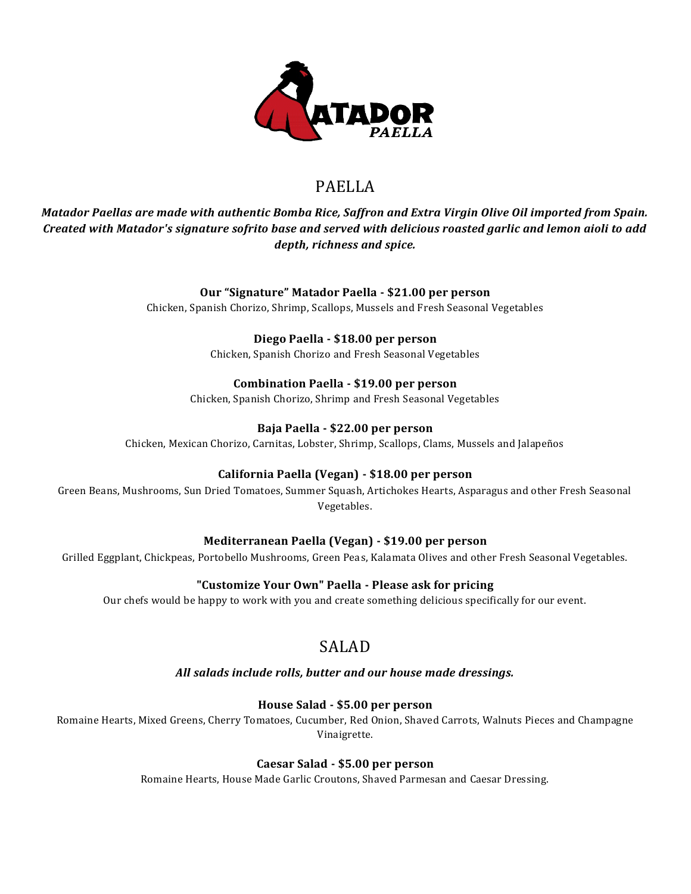

# PAELLA

*Matador Paellas are made with authentic Bomba Rice, Saffron and Extra Virgin Olive Oil imported from Spain. Created with Matador's signature sofrito base and served with delicious roasted garlic and lemon aioli to add depth, richness and spice.* 

## **Our "Signature" Matador Paella - \$21.00 per person**

Chicken, Spanish Chorizo, Shrimp, Scallops, Mussels and Fresh Seasonal Vegetables

## **Diego Paella - \$18.00 per person**

Chicken, Spanish Chorizo and Fresh Seasonal Vegetables

### **Combination Paella - \$19.00 per person**

Chicken, Spanish Chorizo, Shrimp and Fresh Seasonal Vegetables

## **Baja Paella - \$22.00 per person**

Chicken, Mexican Chorizo, Carnitas, Lobster, Shrimp, Scallops, Clams, Mussels and Jalapeños

## **California Paella (Vegan) - \$18.00 per person**

Green Beans, Mushrooms, Sun Dried Tomatoes, Summer Squash, Artichokes Hearts, Asparagus and other Fresh Seasonal Vegetables.

## **Mediterranean Paella (Vegan) - \$19.00 per person**

Grilled Eggplant, Chickpeas, Portobello Mushrooms, Green Peas, Kalamata Olives and other Fresh Seasonal Vegetables.

## **"Customize Your Own" Paella - Please ask for pricing**

Our chefs would be happy to work with you and create something delicious specifically for our event.

## SALAD

### *All salads include rolls, butter and our house made dressings.*

## **House Salad - \$5.00 per person**

Romaine Hearts, Mixed Greens, Cherry Tomatoes, Cucumber, Red Onion, Shaved Carrots, Walnuts Pieces and Champagne Vinaigrette.

### **Caesar Salad - \$5.00 per person**

Romaine Hearts, House Made Garlic Croutons, Shaved Parmesan and Caesar Dressing.